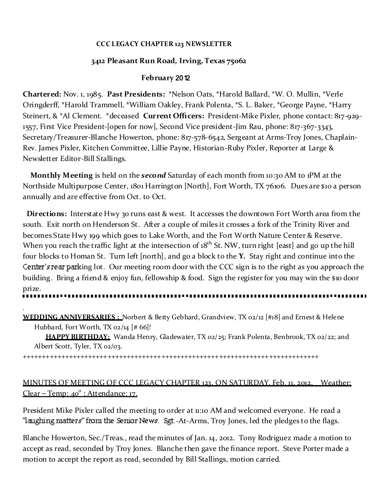#### **CCC LEGACY CHAPTER 123 NEWSLETTER**

#### **3412 Pleasant Run Road, Irving, Texas 75062**

#### **Feb ruary** 2012

**Chartered:** Nov. 1, 1985. **Past Presidents:** \*Nelson Oats, \*Harold Ballard, \*W. O. Mullin, \*Verle Oringderff, \*Harold Trammell, \*William Oakley, Frank Polenta, \*S. L. Baker, \*George Payne, \*Harry Steinert, & \*Al Clement. \*deceased **Current Officers:** President-Mike Pixler, phone contact: 817-929- 1557, First Vice President-[open for now], Second Vice president-Jim Rau, phone: 817-367-3343, Secretary/Treasurer-Blanche Howerton, phone: 817-578-6542, Sergeant at Arms-Troy Jones, Chaplain-Rev. James Pixler, Kitchen Committee, Lillie Payne, Historian-Ruby Pixler, Reporter at Large & Newsletter Editor-Bill Stallings.

**Monthly Meeting** is held on the *second* Saturday of each month from 10:30 AM to 1PM at the Northside Multipurpose Center, 1801 Harrington [North], Fort Worth, TX 76106. Dues are \$10 a person annually and are effective from Oct. to Oct.

**Directions:** Interstate Hwy 30 runs east & west. It accesses the downtown Fort Worth area from the south. Exit north on Henderson St. After a couple of miles it crosses a fork of the Trinity River and becomes State Hwy 199 which goes to Lake Worth, and the Fort Worth Nature Center & Reserve. When you reach the traffic light at the intersection of 1 $8<sup>th</sup>$  St. NW, turn right [east] and go up the hill four blocks to Homan St. Turn left [north], and go a block to the **Y.** Stay right and continue into the Center's rear parking lot. Our meeting room door with the CCC sign is to the right as you approach the building. Bring a friend & enjoy fun, fellowship & food. Sign the register for you may win the \$10 door prize.

**WEDDING ANNIVERSARIES :** Norbert & Betty Gebhard, Grandview, TX 02/12 [#18] and Ernest & Helene Hubbard, Fort Worth, TX 02/14  $[# 66]$ !

**HAPPY BIRTHDAY:** Wanda Henry, Gladewater, TX 02/25; Frank Polenta, Benbrook, TX 02/22; and Albert Scott, Tyler, TX 02/03.

+++++++++++++++++++++++++++++++++++++++++++++++++++++++++++++++++++++++++++++

.

# MINUTES OF MEETING OF CCC LEGACY CHAPTER 123, ON SATURDAY, Feb. 11, 2012, Weather: Clear – Temp: 40<sup>°</sup> : Attendance: 17.

President Mike Pixler called the meeting to order at 11:10 AM and welcomed everyone. He read a "laughing matters" from the Senior News. Sgt.-At-Arms, Troy Jones, led the pledges to the flags.

Blanche Howerton, Sec./Treas., read the minutes of Jan. 14, 2012. Tony Rodriguez made a motion to accept as read, seconded by Troy Jones. Blanche then gave the finance report. Steve Porter made a motion to accept the report as read, seconded by Bill Stallings, motion carried.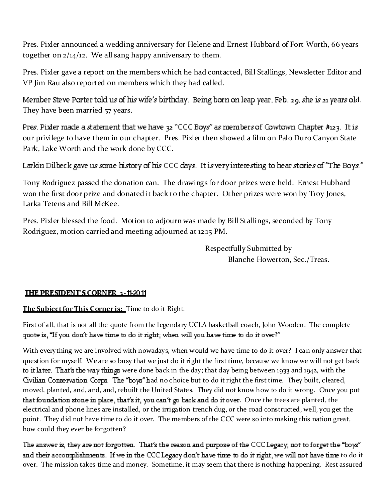Pres. Pixler announced a wedding anniversary for Helene and Ernest Hubbard of Fort Worth, 66 years together on 2/14/12. We all sang happy anniversary to them.

Pres. Pixler gave a report on the members which he had contacted, Bill Stallings, Newsletter Editor and VP Jim Rau also reported on members which they had called.

Member Steve Porter told us of his wife's birthday. Being born on leap year, Feb. 29, she is 21 years old. They have been married 57 years.

Pres. Pixler made a statement that we have  $32$  "CCC Boys" as members of Cowtown Chapter #123. It is our privilege to have them in our chapter. Pres. Pixler then showed a film on Palo Duro Canyon State Park, Lake Worth and the work done by CCC.

Larkin Dilbeck gave us some history of his CCC days. It is very interesting to hear stories of "The Boys."

Tony Rodriguez passed the donation can. The drawings for door prizes were held. Ernest Hubbard won the first door prize and donated it back to the chapter. Other prizes were won by Troy Jones, Larka Tetens and Bill McKee.

Pres. Pixler blessed the food. Motion to adjourn was made by Bill Stallings, seconded by Tony Rodriguez, motion carried and meeting adjourned at 12:15 PM.

> Respectfully Submitted by Blanche Howerton, Sec./Treas.

## **THE PRESIDENT'S CORNER 2-11-2011**

**The Sub ject for This Corner is:** Time to do it Right.

First of all, that is not all the quote from the legendary UCLA basketball coach, John Wooden. The complete quote is, "If you don't have time to do it right; when will you have time to do it over?"

With everything we are involved with nowadays, when would we have time to do it over? I can only answer that question for myself. We are so busy that we just do it right the first time, because we know we will not get back to it later. That's the way things were done back in the day; that day being between 1933 and 1942, with the Gyllian Conservation Corps. The "boys" had no choice but to do it right the first time. They built, cleared, moved, planted, and, and, and, rebuilt the United States. They did not know how to do it wrong. Once you put that foundation stone in place, that's it, you can't go back and do it over. Once the trees are planted, the electrical and phone lines are installed, or the irrigation trench dug, or the road constructed, well, you get the point. They did not have time to do it over. The members of the CCC were so into making this nation great, how could they ever be forgotten?

The answer is, they are not forgotten. That's the reason and purpose of the CCC Legacy; not to forget the "boys" and their accomplishments. If we in the CCC Legacy don't have time to do it right, we will not have time to do it over. The mission takes time and money. Sometime, it may seem that there is nothing happening. Rest assured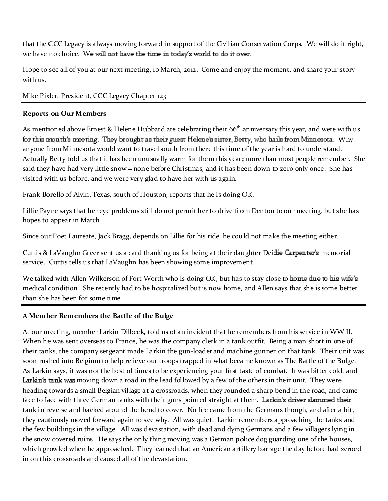that the CCC Legacy is always moving forward in support of the Civilian Conservation Corps. We will do it right, we have no choice. We will not have the time in today's world to do it over.

Hope to see all of you at our next meeting, 10 March, 2012. Come and enjoy the moment, and share your story with us.

Mike Pixler, President, CCC Legacy Chapter 123

#### **Reports on Our Members**

As mentioned above Ernest & Helene Hubbard are celebrating their  $66<sup>th</sup>$  anniversary this year, and were with us for this month's meeting. They brought as their guest Helene's sister, Betty, who hails from Minnesota. Why anyone from Minnesota would want to travel south from there this time of the year is hard to understand. Actually Betty told us that it has been unusually warm for them this year; more than most people remember. She said they have had very little snow - none before Christmas, and it has been down to zero only once. She has visited with us before, and we were very glad to have her with us again.

Frank Borello of Alvin, Texas, south of Houston, reports that he is doing OK.

Lillie Payne says that her eye problems still do not permit her to drive from Denton to our meeting, but she has hopes to appear in March.

Since our Poet Laureate, Jack Bragg, depends on Lillie for his ride, he could not make the meeting either.

Curtis & LaVaughn Greer sent us a card thanking us for being at their daughter Deidie Carpenter's memorial service. Curtis tells us that LaVaughn has been showing some improvement.

We talked with Allen Wilkerson of Fort Worth who is doing OK, but has to stay close to home due to his wife's medical condition. She recently had to be hospitalized but is now home, and Allen says that she is some better than she has been for some time.

## **A Mem ber Rem em b ers the Battle of the Bulge**

At our meeting, member Larkin Dilbeck, told us of an incident that he remembers from his service in WW II. When he was sent overseas to France, he was the company clerk in a tank outfit. Being a man short in one of their tanks, the company sergeant made Larkin the gun-loader and machine gunner on that tank. Their unit was soon rushed into Belgium to help relieve our troops trapped in what became known as The Battle of the Bulge. As Larkin says, it was not the best of times to be experiencing your first taste of combat. It was bitter cold, and Larkin's tank was moving down a road in the lead followed by a few of the others in their unit. They were heading towards a small Belgian village at a crossroads, when they rounded a sharp bend in the road, and came face to face with three German tanks with their guns pointed straight at them. Larkin's driver slammed their tank in reverse and backed around the bend to cover. No fire came from the Germans though, and after a bit, they cautiously moved forward again to see why. All was quiet. Larkin remembers approaching the tanks and the few buildings in the village. All was devastation, with dead and dying Germans and a few villagers lying in the snow covered ruins. He says the only thing moving was a German police dog guarding one of the houses, which growled when he approached. They learned that an American artillery barrage the day before had zeroed in on this crossroads and caused all of the devastation.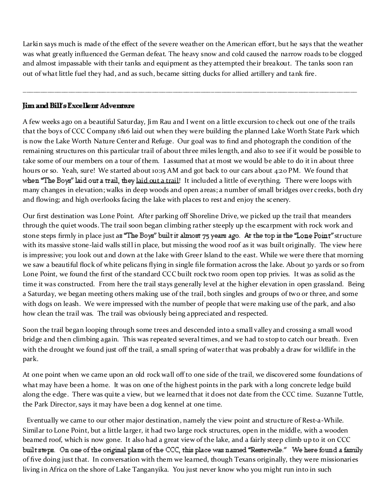Larkin says much is made of the effect of the severe weather on the American effort, but he says that the weather was what greatly influenced the German defeat. The heavy snow and cold caused the narrow roads to be clogged and almost impassable with their tanks and equipment as they attempted their breakout. The tanks soon ran out of what little fuel they had, and as such, became sitting ducks for allied artillery and tank fire.

\_\_\_\_\_\_\_\_\_\_\_\_\_\_\_\_\_\_\_\_\_\_\_\_\_\_\_\_\_\_\_\_\_\_\_\_\_\_\_\_\_\_\_\_\_\_\_\_\_\_\_\_\_\_\_\_\_\_\_\_\_\_\_\_\_\_\_\_\_\_\_\_\_\_\_\_\_\_\_\_\_\_\_\_\_\_\_\_\_\_\_\_\_\_\_\_

#### Jim and Bill's Excellent Adventure

A few weeks ago on a beautiful Saturday, Jim Rau and I went on a little excursion to check out one of the trails that the boys of CCC Company 1816 laid out when they were building the planned Lake Worth State Park which is now the Lake Worth Nature Center and Refuge. Our goal was to find and photograph the condition of the remaining structures on this particular trail of about three miles length, and also to see if it would be possible to take some of our members on a tour of them. I assumed that at most we would be able to do it in about three hours or so. Yeah, sure! We started about 10:15 AM and got back to our cars about 4:20 PM. We found that when "The Boys" laid out a trail, they laid out a trail! It included a little of everything. There were loops with many changes in elevation; walks in deep woods and open areas; a number of small bridges over creeks, both dry and flowing; and high overlooks facing the lake with places to rest and enjoy the scenery.

Our first destination was Lone Point. After parking off Shoreline Drive, we picked up the trail that meanders through the quiet woods. The trail soon began climbing rather steeply up the escarpment with rock work and stone steps firmly in place just as "The Boys" built it almost 75 years ago. At the top is the "Lone Point" structure with its massive stone-laid walls still in place, but missing the wood roof as it was built originally. The view here is impressive; you look out and down at the lake with Greer Island to the east. While we were there that morning we saw a beautiful flock of white pelicans flying in single file formation across the lake. About 30 yards or so from Lone Point, we found the first of the standard CCC built rock two room open top privies. It was as solid as the time it was constructed. From here the trail stays generally level at the higher elevation in open grassland. Being a Saturday, we began meeting others making use of the trail, both singles and groups of two or three, and some with dogs on leash. We were impressed with the number of people that were making use of the park, and also how clean the trail was. The trail was obviously being appreciated and respected.

Soon the trail began looping through some trees and descended into a small valley and crossing a small wood bridge and then climbing again. This was repeated several times, and we had to stop to catch our breath. Even with the drought we found just off the trail, a small spring of waterthat was probably a draw for wildlife in the park.

At one point when we came upon an old rock wall off to one side of the trail, we discovered some foundations of what may have been a home. It was on one of the highest points in the park with a long concrete ledge build along the edge. There was quite a view, but we learned that it does not date from the CCC time. Suzanne Tuttle, the Park Director, says it may have been a dog kennel at one time.

Eventually we came to our other major destination, namely the view point and structure of Rest-a-While. Similar to Lone Point, but a little larger, it had two large rock structures, open in the middle, with a wooden beamed roof, which is now gone. It also had a great view of the lake, and a fairly steep climb up to it on CCC built steps. On one of the original plans of the CCC, this place was named "Resterwile." We here found a family of five doing just that. In conversation with them we learned, though Texans originally, they were missionaries living in Africa on the shore of Lake Tanganyika. You just never know who you might run into in such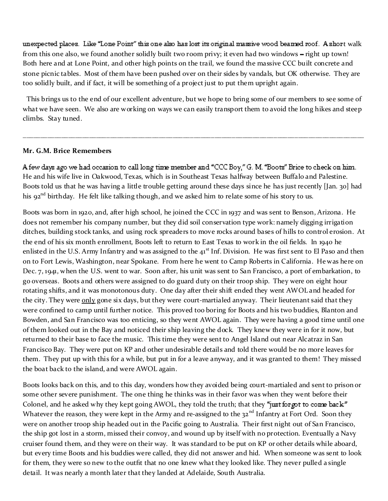unexpected places. Like "Lone Point" this one also has lost its original massive wood beamed roof. A short walk from this one also, we found another solidly built two room privy; it even had two windows - right up town! Both here and at Lone Point, and other high points on the trail, we found the massive CCC built concrete and stone picnic tables. Most of them have been pushed over on their sides by vandals, but OK otherwise. They are too solidly built, and if fact, it will be something of a project just to put them upright again.

This brings us to the end of our excellent adventure, but we hope to bring some of our members to see some of what we have seen. We also are working on ways we can easily transport them to avoid the long hikes and steep climbs. Stay tuned.

\_\_\_\_\_\_\_\_\_\_\_\_\_\_\_\_\_\_\_\_\_\_\_\_\_\_\_\_\_\_\_\_\_\_\_\_\_\_\_\_\_\_\_\_\_\_\_\_\_\_\_\_\_\_\_\_\_\_\_\_\_\_\_\_\_\_\_\_\_\_\_\_\_\_\_\_\_\_\_\_\_\_\_\_\_\_\_\_\_\_\_\_\_\_\_\_\_\_

#### **Mr. G.M. Brice Remembers**

A few days ago we had occasion to call long time member and "CCC Boy," G. M. "Boots" Brice to check on him. He and his wife live in Oakwood, Texas, which is in Southeast Texas halfway between Buffalo and Palestine. Boots told us that he was having a little trouble getting around these days since he has just recently [Jan. 30] had his 92<sup>nd</sup> birthday. He felt like talking though, and we asked him to relate some of his story to us.

Boots was born in 1920, and, after high school, he joined the CCC in 1937 and was sent to Benson, Arizona. He does not remember his company number, but they did soil conservation type work: namely digging irrigation ditches, building stock tanks, and using rock spreaders to move rocks around bases of hills to control erosion. At the end of his six month enrollment, Boots left to return to East Texas to work in the oil fields. In 1940 he enlisted in the U.S. Army Infantry and was assigned to the 41<sup>st</sup> Inf. Division. He was first sent to El Paso and then on to Fort Lewis, Washington, near Spokane. From here he went to Camp Roberts in California. He was here on Dec. 7, 1941, when the U.S. went to war. Soon after, his unit was sent to San Francisco, a port of embarkation, to go overseas. Boots and others were assigned to do guard duty on their troop ship. They were on eight hour rotating shifts, and it was monotonous duty. One day after their shift ended they went AWOL and headed for the city. They were only gone six days, but they were court-martialed anyway. Their lieutenant said that they were confined to camp until further notice. This proved too boring for Boots and his two buddies, Blanton and Bowden, and San Francisco was too enticing, so they went AWOL again. They were having a good time until one of them looked out in the Bay and noticed their ship leaving the dock. They knew they were in for it now, but returned to their base to face the music. This time they were sent to Angel Island out near Alcatraz in San Francisco Bay. They were put on KP and other undesirable details and told there would be no more leaves for them. They put up with this for a while, but put in for a leave anyway, and it was granted to them! They missed the boat back to the island, and were AWOL again.

Boots looks back on this, and to this day, wonders how they avoided being court-martialed and sent to prison or some other severe punishment. The one thing he thinks was in their favor was when they went before their Colonel, and he asked why they kept going AWOL, they told the truth; that they "just for got to come back" Whatever the reason, they were kept in the Army and re-assigned to the 32<sup>nd</sup> Infantry at Fort Ord. Soon they were on another troop ship headed out in the Pacific going to Australia. Their first night out of San Francisco, the ship got lost in a storm, missed their convoy, and wound up by itself with no protection. Eventually a Navy cruiser found them, and they were on their way. It was standard to be put on KP or other details while aboard, but every time Boots and his buddies were called, they did not answer and hid. When someone was sent to look for them, they were so new to the outfit that no one knew what they looked like. They never pulled a single detail. It was nearly a month later that they landed at Adelaide, South Australia.